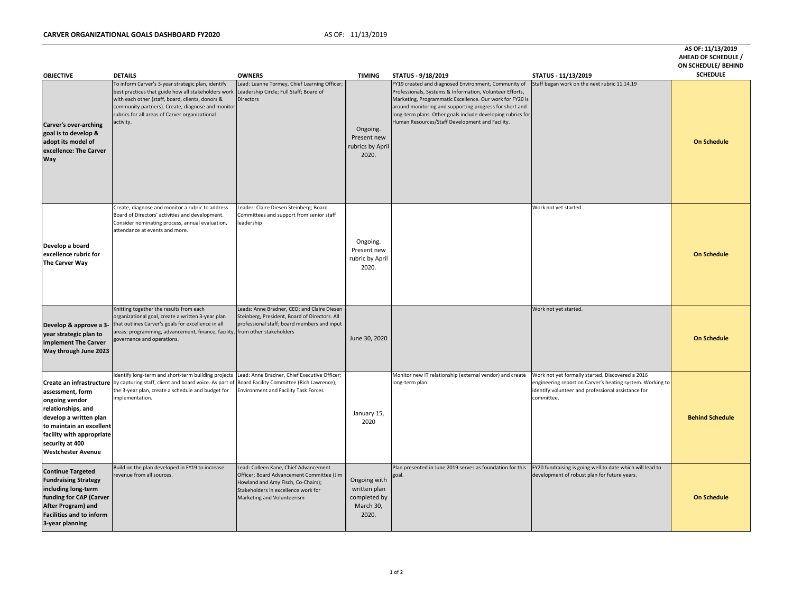## **CARVER ORGANIZATIONAL GOALS DASHBOARD FY2020** AS OF: 11/13/2019

**AS OF: 11/13/2019**

| <b>OBJECTIVE</b>                                                                                                                                                                             | <b>DETAILS</b>                                                                                                                                                                                                                                                                                                            | <b>OWNERS</b>                                                                                                                                                                                 | <b>TIMING</b>                                                      | <b>STATUS - 9/18/2019</b>                                                                                                                                                                                                                                                                                                                                 | STATUS - 11/13/2019                                                                                                                                                               | <b>AHEAD OF SCHEDULE /</b><br><b>ON SCHEDULE/ BEHIND</b><br><b>SCHEDULE</b> |
|----------------------------------------------------------------------------------------------------------------------------------------------------------------------------------------------|---------------------------------------------------------------------------------------------------------------------------------------------------------------------------------------------------------------------------------------------------------------------------------------------------------------------------|-----------------------------------------------------------------------------------------------------------------------------------------------------------------------------------------------|--------------------------------------------------------------------|-----------------------------------------------------------------------------------------------------------------------------------------------------------------------------------------------------------------------------------------------------------------------------------------------------------------------------------------------------------|-----------------------------------------------------------------------------------------------------------------------------------------------------------------------------------|-----------------------------------------------------------------------------|
| <b>Carver's over-arching</b><br>goal is to develop &<br>adopt its model of<br>excellence: The Carver<br><b>Way</b>                                                                           | To inform Carver's 3-year strategic plan, identify<br>best practices that guide how all stakeholders work Leadership Circle; Full Staff; Board of<br>with each other (staff, board, clients, donors &<br>community partners). Create, diagnose and monitor<br>rubrics for all areas of Carver organizational<br>activity. | Lead: Leanne Tormey, Chief Learning Officer;<br>Directors                                                                                                                                     | Ongoing.<br>Present new<br>rubrics by April<br>2020.               | FY19 created and diagnosed Environment, Community of<br>Professionals, Systems & Information, Volunteer Efforts,<br>Marketing, Programmatic Excellence. Our work for FY20 is<br>around monitoring and supporting progress for short and<br>long-term plans. Other goals include developing rubrics for<br>Human Resources/Staff Development and Facility. | Staff began work on the next rubric 11.14.19                                                                                                                                      | <b>On Schedule</b>                                                          |
| Develop a board<br>excellence rubric for<br><b>The Carver Way</b>                                                                                                                            | Create, diagnose and monitor a rubric to address<br>Board of Directors' activities and development.<br>Consider nominating process, annual evaluation,<br>attendance at events and more.                                                                                                                                  | Leader: Claire Diesen Steinberg; Board<br>Committees and support from senior staff<br>leadership                                                                                              | Ongoing.<br>Present new<br>rubric by April<br>2020.                |                                                                                                                                                                                                                                                                                                                                                           | Work not yet started.                                                                                                                                                             | <b>On Schedule</b>                                                          |
| Develop & approve a 3-<br>year strategic plan to<br>implement The Carver<br><b>Way through June 2023</b>                                                                                     | Knitting together the results from each<br>organizational goal, create a written 3-year plan<br>that outlines Carver's goals for excellence in all<br>areas: programming, advancement, finance, facility,<br>governance and operations.                                                                                   | Leads: Anne Bradner, CEO; and Claire Diesen<br>Steinberg, President, Board of Directors. All<br>professional staff; board members and input<br>from other stakeholders                        | June 30, 2020                                                      |                                                                                                                                                                                                                                                                                                                                                           | Work not yet started.                                                                                                                                                             | <b>On Schedule</b>                                                          |
| assessment, form<br>ongoing vendor<br>relationships, and<br>develop a written plan<br>to maintain an excellent<br>facility with appropriate<br>security at 400<br><b>Westchester Avenue</b>  | Identify long-term and short-term building projects<br><b>Create an infrastructure</b> by capturing staff, client and board voice. As part of Board Facility Committee (Rich Lawrence);<br>the 3-year plan, create a schedule and budget for<br>implementation.                                                           | Lead: Anne Bradner, Chief Executive Officer;<br><b>Environment and Facility Task Forces</b>                                                                                                   | January 15,<br>2020                                                | Monitor new IT relationship (external vendor) and create<br>long-term plan.                                                                                                                                                                                                                                                                               | Work not yet formally started. Discovered a 2016<br>engineering report on Carver's heating system. Working to<br>identify volunteer and professional assistance for<br>committee. | <b>Behind Schedule</b>                                                      |
| <b>Continue Targeted</b><br><b>Fundraising Strategy</b><br>including long-term<br>funding for CAP (Carver<br><b>After Program) and</b><br><b>Facilities and to inform</b><br>3-year planning | Build on the plan developed in FY19 to increase<br>revenue from all sources.                                                                                                                                                                                                                                              | Lead: Colleen Kane, Chief Advancement<br>Officer; Board Advancement Committee (Jim<br>Howland and Amy Fisch, Co-Chairs);<br>Stakeholders in excellence work for<br>Marketing and Volunteerism | Ongoing with<br>written plan<br>completed by<br>March 30,<br>2020. | Plan presented in June 2019 serves as foundation for this<br>goal.                                                                                                                                                                                                                                                                                        | FY20 fundraising is going well to date which will lead to<br>development of robust plan for future years.                                                                         | <b>On Schedule</b>                                                          |